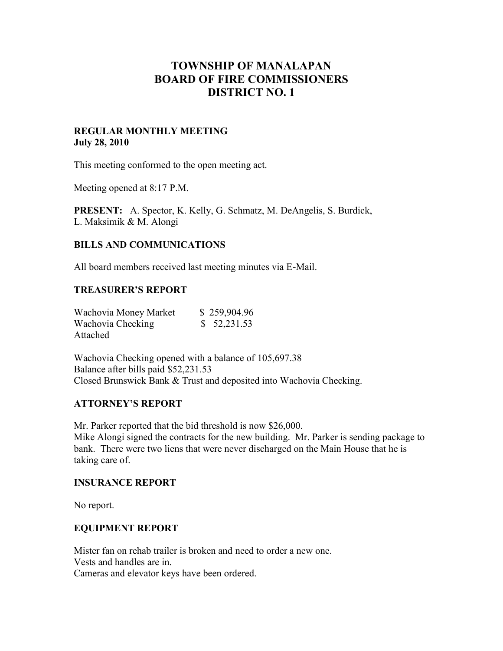# **TOWNSHIP OF MANALAPAN BOARD OF FIRE COMMISSIONERS DISTRICT NO. 1**

### **REGULAR MONTHLY MEETING July 28, 2010**

This meeting conformed to the open meeting act.

Meeting opened at 8:17 P.M.

**PRESENT:** A. Spector, K. Kelly, G. Schmatz, M. DeAngelis, S. Burdick, L. Maksimik & M. Alongi

### **BILLS AND COMMUNICATIONS**

All board members received last meeting minutes via E-Mail.

### **TREASURER'S REPORT**

| Wachovia Money Market | \$259,904.96 |
|-----------------------|--------------|
| Wachovia Checking     | \$52,231.53  |
| Attached              |              |

Wachovia Checking opened with a balance of 105,697.38 Balance after bills paid \$52,231.53 Closed Brunswick Bank & Trust and deposited into Wachovia Checking.

### **ATTORNEY'S REPORT**

Mr. Parker reported that the bid threshold is now \$26,000.

Mike Alongi signed the contracts for the new building. Mr. Parker is sending package to bank. There were two liens that were never discharged on the Main House that he is taking care of.

### **INSURANCE REPORT**

No report.

### **EQUIPMENT REPORT**

Mister fan on rehab trailer is broken and need to order a new one. Vests and handles are in. Cameras and elevator keys have been ordered.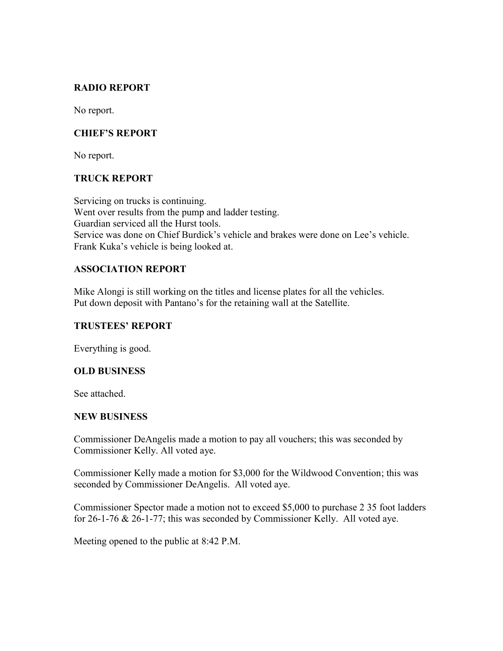# **RADIO REPORT**

No report.

# **CHIEF'S REPORT**

No report.

# **TRUCK REPORT**

Servicing on trucks is continuing. Went over results from the pump and ladder testing. Guardian serviced all the Hurst tools. Service was done on Chief Burdick's vehicle and brakes were done on Lee's vehicle. Frank Kuka's vehicle is being looked at.

# **ASSOCIATION REPORT**

Mike Alongi is still working on the titles and license plates for all the vehicles. Put down deposit with Pantano's for the retaining wall at the Satellite.

### **TRUSTEES' REPORT**

Everything is good.

# **OLD BUSINESS**

See attached.

### **NEW BUSINESS**

Commissioner DeAngelis made a motion to pay all vouchers; this was seconded by Commissioner Kelly. All voted aye.

Commissioner Kelly made a motion for \$3,000 for the Wildwood Convention; this was seconded by Commissioner DeAngelis. All voted aye.

Commissioner Spector made a motion not to exceed \$5,000 to purchase 2 35 foot ladders for 26-1-76 & 26-1-77; this was seconded by Commissioner Kelly. All voted aye.

Meeting opened to the public at 8:42 P.M.